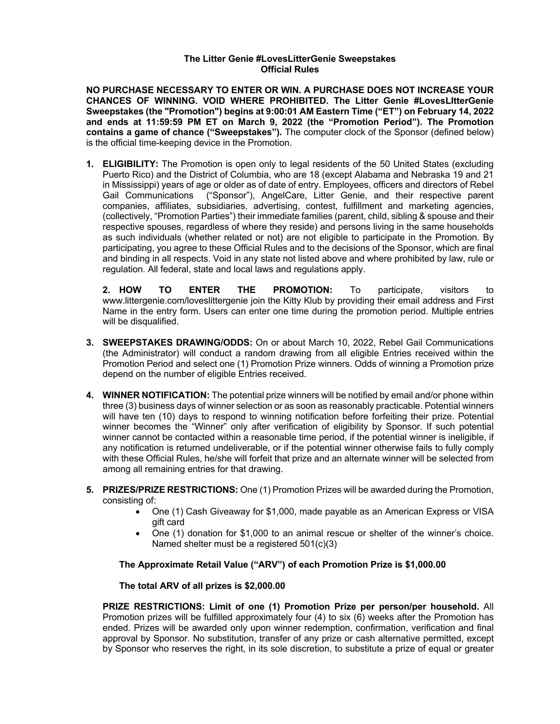## **The Litter Genie #LovesLitterGenie Sweepstakes Official Rules**

**NO PURCHASE NECESSARY TO ENTER OR WIN. A PURCHASE DOES NOT INCREASE YOUR CHANCES OF WINNING. VOID WHERE PROHIBITED. The Litter Genie #LovesLItterGenie Sweepstakes (the "Promotion") begins at 9:00:01 AM Eastern Time ("ET") on February 14, 2022 and ends at 11:59:59 PM ET on March 9, 2022 (the "Promotion Period"). The Promotion contains a game of chance ("Sweepstakes").** The computer clock of the Sponsor (defined below) is the official time-keeping device in the Promotion.

**1. ELIGIBILITY:** The Promotion is open only to legal residents of the 50 United States (excluding Puerto Rico) and the District of Columbia, who are 18 (except Alabama and Nebraska 19 and 21 in Mississippi) years of age or older as of date of entry. Employees, officers and directors of Rebel Gail Communications ("Sponsor"), AngelCare, Litter Genie, and their respective parent companies, affiliates, subsidiaries, advertising, contest, fulfillment and marketing agencies, (collectively, "Promotion Parties") their immediate families (parent, child, sibling & spouse and their respective spouses, regardless of where they reside) and persons living in the same households as such individuals (whether related or not) are not eligible to participate in the Promotion. By participating, you agree to these Official Rules and to the decisions of the Sponsor, which are final and binding in all respects. Void in any state not listed above and where prohibited by law, rule or regulation. All federal, state and local laws and regulations apply.

**2. HOW TO ENTER THE PROMOTION:** To participate, visitors to www.littergenie.com/loveslittergenie join the Kitty Klub by providing their email address and First Name in the entry form. Users can enter one time during the promotion period. Multiple entries will be disqualified.

- **3. SWEEPSTAKES DRAWING/ODDS:** On or about March 10, 2022, Rebel Gail Communications (the Administrator) will conduct a random drawing from all eligible Entries received within the Promotion Period and select one (1) Promotion Prize winners. Odds of winning a Promotion prize depend on the number of eligible Entries received.
- **4. WINNER NOTIFICATION:** The potential prize winners will be notified by email and/or phone within three (3) business days of winner selection or as soon as reasonably practicable. Potential winners will have ten (10) days to respond to winning notification before forfeiting their prize. Potential winner becomes the "Winner" only after verification of eligibility by Sponsor. If such potential winner cannot be contacted within a reasonable time period, if the potential winner is ineligible, if any notification is returned undeliverable, or if the potential winner otherwise fails to fully comply with these Official Rules, he/she will forfeit that prize and an alternate winner will be selected from among all remaining entries for that drawing.
- **5. PRIZES/PRIZE RESTRICTIONS:** One (1) Promotion Prizes will be awarded during the Promotion, consisting of:
	- One (1) Cash Giveaway for \$1,000, made payable as an American Express or VISA gift card
	- One (1) donation for \$1,000 to an animal rescue or shelter of the winner's choice. Named shelter must be a registered 501(c)(3)

## **The Approximate Retail Value ("ARV") of each Promotion Prize is \$1,000.00**

## **The total ARV of all prizes is \$2,000.00**

**PRIZE RESTRICTIONS: Limit of one (1) Promotion Prize per person/per household.** All Promotion prizes will be fulfilled approximately four (4) to six (6) weeks after the Promotion has ended. Prizes will be awarded only upon winner redemption, confirmation, verification and final approval by Sponsor. No substitution, transfer of any prize or cash alternative permitted, except by Sponsor who reserves the right, in its sole discretion, to substitute a prize of equal or greater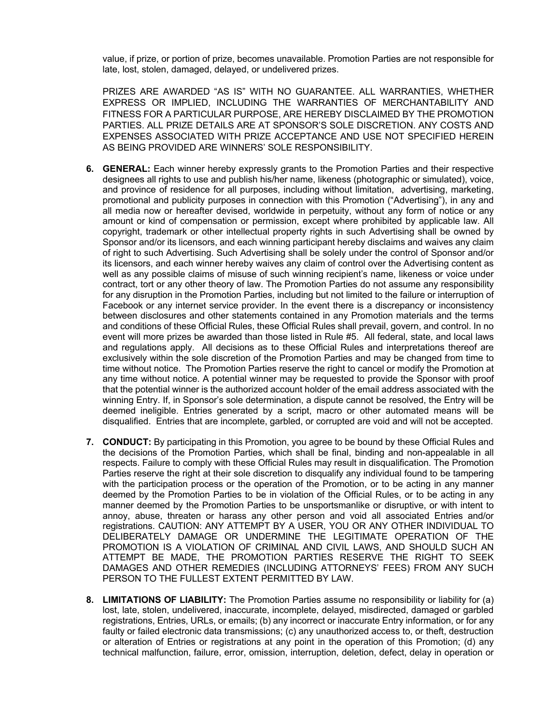value, if prize, or portion of prize, becomes unavailable. Promotion Parties are not responsible for late, lost, stolen, damaged, delayed, or undelivered prizes.

PRIZES ARE AWARDED "AS IS" WITH NO GUARANTEE. ALL WARRANTIES, WHETHER EXPRESS OR IMPLIED, INCLUDING THE WARRANTIES OF MERCHANTABILITY AND FITNESS FOR A PARTICULAR PURPOSE, ARE HEREBY DISCLAIMED BY THE PROMOTION PARTIES. ALL PRIZE DETAILS ARE AT SPONSOR'S SOLE DISCRETION. ANY COSTS AND EXPENSES ASSOCIATED WITH PRIZE ACCEPTANCE AND USE NOT SPECIFIED HEREIN AS BEING PROVIDED ARE WINNERS' SOLE RESPONSIBILITY.

- **6. GENERAL:** Each winner hereby expressly grants to the Promotion Parties and their respective designees all rights to use and publish his/her name, likeness (photographic or simulated), voice, and province of residence for all purposes, including without limitation, advertising, marketing, promotional and publicity purposes in connection with this Promotion ("Advertising"), in any and all media now or hereafter devised, worldwide in perpetuity, without any form of notice or any amount or kind of compensation or permission, except where prohibited by applicable law. All copyright, trademark or other intellectual property rights in such Advertising shall be owned by Sponsor and/or its licensors, and each winning participant hereby disclaims and waives any claim of right to such Advertising. Such Advertising shall be solely under the control of Sponsor and/or its licensors, and each winner hereby waives any claim of control over the Advertising content as well as any possible claims of misuse of such winning recipient's name, likeness or voice under contract, tort or any other theory of law. The Promotion Parties do not assume any responsibility for any disruption in the Promotion Parties, including but not limited to the failure or interruption of Facebook or any internet service provider. In the event there is a discrepancy or inconsistency between disclosures and other statements contained in any Promotion materials and the terms and conditions of these Official Rules, these Official Rules shall prevail, govern, and control. In no event will more prizes be awarded than those listed in Rule #5. All federal, state, and local laws and regulations apply. All decisions as to these Official Rules and interpretations thereof are exclusively within the sole discretion of the Promotion Parties and may be changed from time to time without notice. The Promotion Parties reserve the right to cancel or modify the Promotion at any time without notice. A potential winner may be requested to provide the Sponsor with proof that the potential winner is the authorized account holder of the email address associated with the winning Entry. If, in Sponsor's sole determination, a dispute cannot be resolved, the Entry will be deemed ineligible. Entries generated by a script, macro or other automated means will be disqualified. Entries that are incomplete, garbled, or corrupted are void and will not be accepted.
- **7. CONDUCT:** By participating in this Promotion, you agree to be bound by these Official Rules and the decisions of the Promotion Parties, which shall be final, binding and non-appealable in all respects. Failure to comply with these Official Rules may result in disqualification. The Promotion Parties reserve the right at their sole discretion to disqualify any individual found to be tampering with the participation process or the operation of the Promotion, or to be acting in any manner deemed by the Promotion Parties to be in violation of the Official Rules, or to be acting in any manner deemed by the Promotion Parties to be unsportsmanlike or disruptive, or with intent to annoy, abuse, threaten or harass any other person and void all associated Entries and/or registrations. CAUTION: ANY ATTEMPT BY A USER, YOU OR ANY OTHER INDIVIDUAL TO DELIBERATELY DAMAGE OR UNDERMINE THE LEGITIMATE OPERATION OF THE PROMOTION IS A VIOLATION OF CRIMINAL AND CIVIL LAWS, AND SHOULD SUCH AN ATTEMPT BE MADE, THE PROMOTION PARTIES RESERVE THE RIGHT TO SEEK DAMAGES AND OTHER REMEDIES (INCLUDING ATTORNEYS' FEES) FROM ANY SUCH PERSON TO THE FULLEST EXTENT PERMITTED BY LAW.
- **8. LIMITATIONS OF LIABILITY:** The Promotion Parties assume no responsibility or liability for (a) lost, late, stolen, undelivered, inaccurate, incomplete, delayed, misdirected, damaged or garbled registrations, Entries, URLs, or emails; (b) any incorrect or inaccurate Entry information, or for any faulty or failed electronic data transmissions; (c) any unauthorized access to, or theft, destruction or alteration of Entries or registrations at any point in the operation of this Promotion; (d) any technical malfunction, failure, error, omission, interruption, deletion, defect, delay in operation or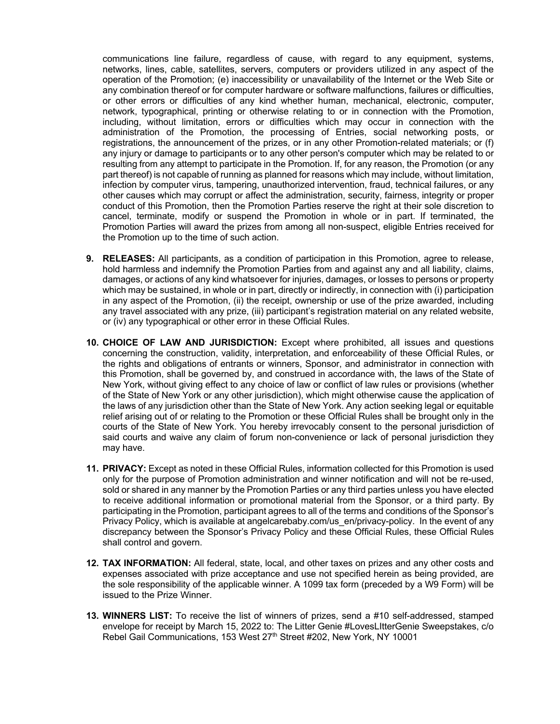communications line failure, regardless of cause, with regard to any equipment, systems, networks, lines, cable, satellites, servers, computers or providers utilized in any aspect of the operation of the Promotion; (e) inaccessibility or unavailability of the Internet or the Web Site or any combination thereof or for computer hardware or software malfunctions, failures or difficulties, or other errors or difficulties of any kind whether human, mechanical, electronic, computer, network, typographical, printing or otherwise relating to or in connection with the Promotion, including, without limitation, errors or difficulties which may occur in connection with the administration of the Promotion, the processing of Entries, social networking posts, or registrations, the announcement of the prizes, or in any other Promotion-related materials; or (f) any injury or damage to participants or to any other person's computer which may be related to or resulting from any attempt to participate in the Promotion. If, for any reason, the Promotion (or any part thereof) is not capable of running as planned for reasons which may include, without limitation, infection by computer virus, tampering, unauthorized intervention, fraud, technical failures, or any other causes which may corrupt or affect the administration, security, fairness, integrity or proper conduct of this Promotion, then the Promotion Parties reserve the right at their sole discretion to cancel, terminate, modify or suspend the Promotion in whole or in part. If terminated, the Promotion Parties will award the prizes from among all non-suspect, eligible Entries received for the Promotion up to the time of such action.

- **9. RELEASES:** All participants, as a condition of participation in this Promotion, agree to release, hold harmless and indemnify the Promotion Parties from and against any and all liability, claims, damages, or actions of any kind whatsoever for injuries, damages, or losses to persons or property which may be sustained, in whole or in part, directly or indirectly, in connection with (i) participation in any aspect of the Promotion, (ii) the receipt, ownership or use of the prize awarded, including any travel associated with any prize, (iii) participant's registration material on any related website, or (iv) any typographical or other error in these Official Rules.
- **10. CHOICE OF LAW AND JURISDICTION:** Except where prohibited, all issues and questions concerning the construction, validity, interpretation, and enforceability of these Official Rules, or the rights and obligations of entrants or winners, Sponsor, and administrator in connection with this Promotion, shall be governed by, and construed in accordance with, the laws of the State of New York, without giving effect to any choice of law or conflict of law rules or provisions (whether of the State of New York or any other jurisdiction), which might otherwise cause the application of the laws of any jurisdiction other than the State of New York. Any action seeking legal or equitable relief arising out of or relating to the Promotion or these Official Rules shall be brought only in the courts of the State of New York. You hereby irrevocably consent to the personal jurisdiction of said courts and waive any claim of forum non-convenience or lack of personal jurisdiction they may have.
- **11. PRIVACY:** Except as noted in these Official Rules, information collected for this Promotion is used only for the purpose of Promotion administration and winner notification and will not be re-used, sold or shared in any manner by the Promotion Parties or any third parties unless you have elected to receive additional information or promotional material from the Sponsor, or a third party. By participating in the Promotion, participant agrees to all of the terms and conditions of the Sponsor's Privacy Policy, which is available at angelcarebaby.com/us\_en/privacy-policy. In the event of any discrepancy between the Sponsor's Privacy Policy and these Official Rules, these Official Rules shall control and govern.
- **12. TAX INFORMATION:** All federal, state, local, and other taxes on prizes and any other costs and expenses associated with prize acceptance and use not specified herein as being provided, are the sole responsibility of the applicable winner. A 1099 tax form (preceded by a W9 Form) will be issued to the Prize Winner.
- **13. WINNERS LIST:** To receive the list of winners of prizes, send a #10 self-addressed, stamped envelope for receipt by March 15, 2022 to: The Litter Genie #LovesLItterGenie Sweepstakes, c/o Rebel Gail Communications, 153 West 27<sup>th</sup> Street #202, New York, NY 10001